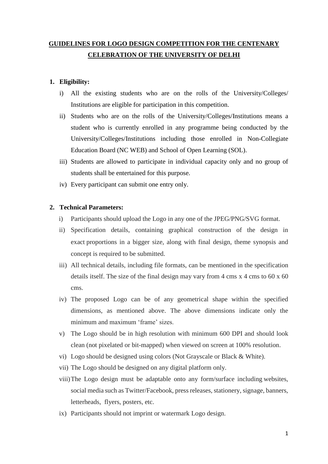# **GUIDELINES FOR LOGO DESIGN COMPETITION FOR THE CENTENARY CELEBRATION OF THE UNIVERSITY OF DELHI**

### **1. Eligibility:**

- i) All the existing students who are on the rolls of the University/Colleges/ Institutions are eligible for participation in this competition.
- ii) Students who are on the rolls of the University/Colleges/Institutions means a student who is currently enrolled in any programme being conducted by the University/Colleges/Institutions including those enrolled in Non-Collegiate Education Board (NC WEB) and School of Open Learning (SOL).
- iii) Students are allowed to participate in individual capacity only and no group of students shall be entertained for this purpose.
- iv) Every participant can submit one entry only.

### **2. Technical Parameters:**

- i) Participants should upload the Logo in any one of the JPEG/PNG/SVG format.
- ii) Specification details, containing graphical construction of the design in exact proportions in a bigger size, along with final design, theme synopsis and concept is required to be submitted.
- iii) All technical details, including file formats, can be mentioned in the specification details itself. The size of the final design may vary from 4 cms x 4 cms to 60 x 60 cms.
- iv) The proposed Logo can be of any geometrical shape within the specified dimensions, as mentioned above. The above dimensions indicate only the minimum and maximum 'frame' sizes.
- v) The Logo should be in high resolution with minimum 600 DPI and should look clean (not pixelated or bit-mapped) when viewed on screen at 100% resolution.
- vi) Logo should be designed using colors (Not Grayscale or Black & White).
- vii) The Logo should be designed on any digital platform only.
- viii)The Logo design must be adaptable onto any form/surface including websites, social media such as Twitter/Facebook, press releases, stationery, signage, banners, letterheads, flyers, posters, etc.
- ix) Participants should not imprint or watermark Logo design.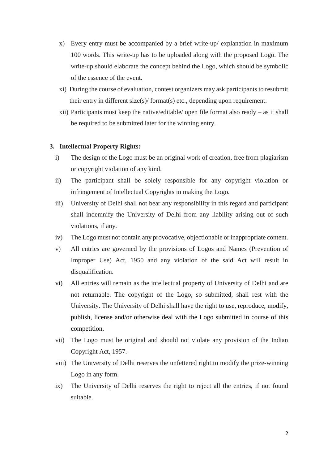- x) Every entry must be accompanied by a brief write-up/ explanation in maximum 100 words. This write-up has to be uploaded along with the proposed Logo. The write-up should elaborate the concept behind the Logo, which should be symbolic of the essence of the event.
- xi) During the course of evaluation, contest organizers may ask participants to resubmit their entry in different size(s)/ format(s) etc., depending upon requirement.
- xii) Participants must keep the native/editable/ open file format also ready as it shall be required to be submitted later for the winning entry.

#### **3. Intellectual Property Rights:**

- i) The design of the Logo must be an original work of creation, free from plagiarism or copyright violation of any kind.
- ii) The participant shall be solely responsible for any copyright violation or infringement of Intellectual Copyrights in making the Logo.
- iii) University of Delhi shall not bear any responsibility in this regard and participant shall indemnify the University of Delhi from any liability arising out of such violations, if any.
- iv) The Logo must not contain any provocative, objectionable or inappropriate content.
- v) All entries are governed by the provisions of Logos and Names (Prevention of Improper Use) Act, 1950 and any violation of the said Act will result in disqualification.
- vi) All entries will remain as the intellectual property of University of Delhi and are not returnable. The copyright of the Logo, so submitted, shall rest with the University. The University of Delhi shall have the right to use, reproduce, modify, publish, license and/or otherwise deal with the Logo submitted in course of this competition.
- vii) The Logo must be original and should not violate any provision of the Indian Copyright Act, 1957.
- viii) The University of Delhi reserves the unfettered right to modify the prize-winning Logo in any form.
- ix) The University of Delhi reserves the right to reject all the entries, if not found suitable.